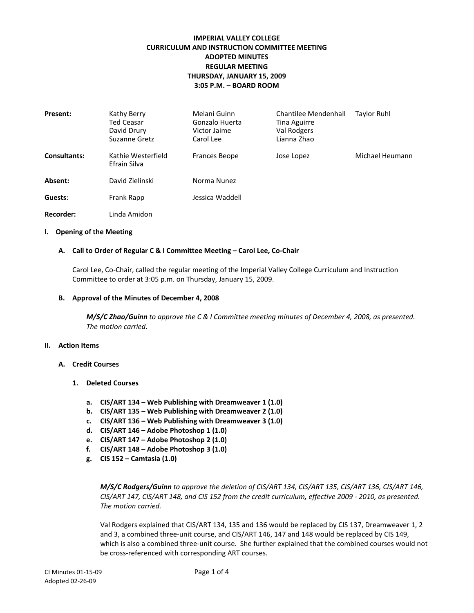# **IMPERIAL VALLEY COLLEGE CURRICULUM AND INSTRUCTION COMMITTEE MEETING ADOPTED MINUTES REGULAR MEETING THURSDAY, JANUARY 15, 2009 3:05 P.M. – BOARD ROOM**

| <b>Present:</b>     | Kathy Berry<br>Ted Ceasar<br>David Drury<br>Suzanne Gretz | Melani Guinn<br>Gonzalo Huerta<br>Victor Jaime<br>Carol Lee | <b>Chantilee Mendenhall</b><br>Tina Aguirre<br>Val Rodgers<br>Lianna Zhao | <b>Taylor Ruhl</b> |
|---------------------|-----------------------------------------------------------|-------------------------------------------------------------|---------------------------------------------------------------------------|--------------------|
| <b>Consultants:</b> | Kathie Westerfield<br>Efrain Silva                        | <b>Frances Beope</b>                                        | Jose Lopez                                                                | Michael Heumann    |
| Absent:             | David Zielinski                                           | Norma Nunez                                                 |                                                                           |                    |
| Guests:             | Frank Rapp                                                | Jessica Waddell                                             |                                                                           |                    |
| Recorder:           | Linda Amidon                                              |                                                             |                                                                           |                    |

#### **I. Opening of the Meeting**

#### **A. Call to Order of Regular C & I Committee Meeting – Carol Lee, Co-Chair**

Carol Lee, Co-Chair, called the regular meeting of the Imperial Valley College Curriculum and Instruction Committee to order at 3:05 p.m. on Thursday, January 15, 2009.

#### **B. Approval of the Minutes of December 4, 2008**

*M/S/C Zhao/Guinn to approve the C & I Committee meeting minutes of December 4, 2008, as presented. The motion carried.*

#### **II. Action Items**

- **A. Credit Courses**
	- **1. Deleted Courses**
		- **a. CIS/ART 134 – Web Publishing with Dreamweaver 1 (1.0)**
		- **b. CIS/ART 135 – Web Publishing with Dreamweaver 2 (1.0)**
		- **c. CIS/ART 136 – Web Publishing with Dreamweaver 3 (1.0)**
		- **d. CIS/ART 146 – Adobe Photoshop 1 (1.0)**
		- **e. CIS/ART 147 – Adobe Photoshop 2 (1.0)**
		- **f. CIS/ART 148 – Adobe Photoshop 3 (1.0)**
		- **g. CIS 152 – Camtasia (1.0)**

*M/S/C Rodgers/Guinn to approve the deletion of CIS/ART 134, CIS/ART 135, CIS/ART 136, CIS/ART 146, CIS/ART 147, CIS/ART 148, and CIS 152 from the credit curriculum, effective 2009 - 2010, as presented. The motion carried.*

Val Rodgers explained that CIS/ART 134, 135 and 136 would be replaced by CIS 137, Dreamweaver 1, 2 and 3, a combined three-unit course, and CIS/ART 146, 147 and 148 would be replaced by CIS 149, which is also a combined three-unit course. She further explained that the combined courses would not be cross-referenced with corresponding ART courses.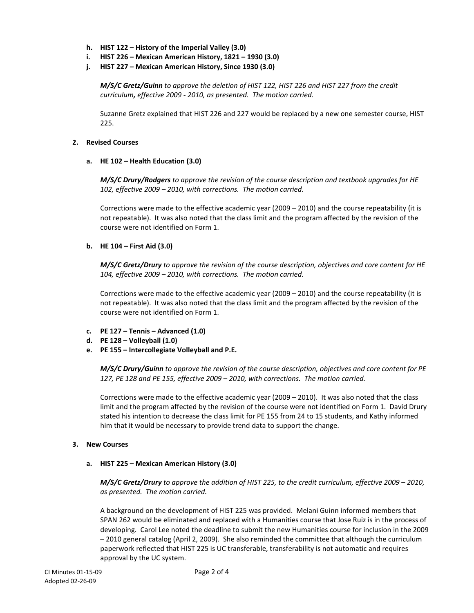- **h. HIST 122 – History of the Imperial Valley (3.0)**
- **i. HIST 226 – Mexican American History, 1821 – 1930 (3.0)**
- **j. HIST 227 – Mexican American History, Since 1930 (3.0)**

*M/S/C Gretz/Guinn to approve the deletion of HIST 122, HIST 226 and HIST 227 from the credit curriculum, effective 2009 - 2010, as presented. The motion carried.*

Suzanne Gretz explained that HIST 226 and 227 would be replaced by a new one semester course, HIST 225.

## **2. Revised Courses**

## **a. HE 102 – Health Education (3.0)**

*M/S/C Drury/Rodgers to approve the revision of the course description and textbook upgrades for HE 102, effective 2009 – 2010, with corrections. The motion carried.*

Corrections were made to the effective academic year (2009 – 2010) and the course repeatability (it is not repeatable). It was also noted that the class limit and the program affected by the revision of the course were not identified on Form 1.

# **b. HE 104 – First Aid (3.0)**

*M/S/C Gretz/Drury to approve the revision of the course description, objectives and core content for HE 104, effective 2009 – 2010, with corrections. The motion carried.*

Corrections were made to the effective academic year (2009 – 2010) and the course repeatability (it is not repeatable). It was also noted that the class limit and the program affected by the revision of the course were not identified on Form 1.

- **c. PE 127 – Tennis – Advanced (1.0)**
- **d. PE 128 – Volleyball (1.0)**
- **e. PE 155 – Intercollegiate Volleyball and P.E.**

*M/S/C Drury/Guinn to approve the revision of the course description, objectives and core content for PE 127, PE 128 and PE 155, effective 2009 – 2010, with corrections. The motion carried.*

Corrections were made to the effective academic year (2009 – 2010). It was also noted that the class limit and the program affected by the revision of the course were not identified on Form 1. David Drury stated his intention to decrease the class limit for PE 155 from 24 to 15 students, and Kathy informed him that it would be necessary to provide trend data to support the change.

## **3. New Courses**

## **a. HIST 225 – Mexican American History (3.0)**

*M/S/C Gretz/Drury to approve the addition of HIST 225, to the credit curriculum, effective 2009 – 2010, as presented. The motion carried.*

A background on the development of HIST 225 was provided. Melani Guinn informed members that SPAN 262 would be eliminated and replaced with a Humanities course that Jose Ruiz is in the process of developing. Carol Lee noted the deadline to submit the new Humanities course for inclusion in the 2009 – 2010 general catalog (April 2, 2009). She also reminded the committee that although the curriculum paperwork reflected that HIST 225 is UC transferable, transferability is not automatic and requires approval by the UC system.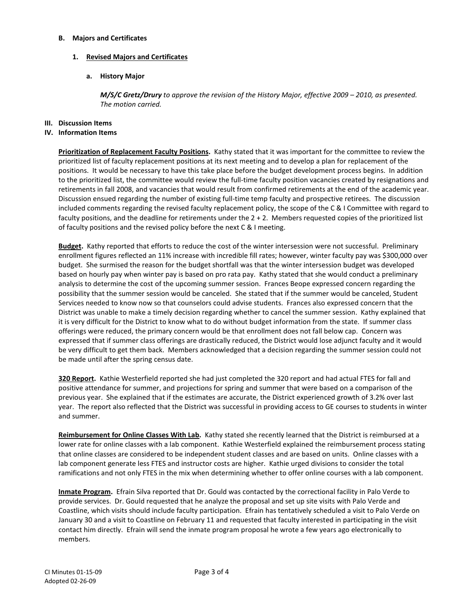### **B. Majors and Certificates**

# **1. Revised Majors and Certificates**

# **a. History Major**

*M/S/C Gretz/Drury to approve the revision of the History Major, effective 2009 – 2010, as presented. The motion carried.*

## **III. Discussion Items**

### **IV. Information Items**

**Prioritization of Replacement Faculty Positions.** Kathy stated that it was important for the committee to review the prioritized list of faculty replacement positions at its next meeting and to develop a plan for replacement of the positions. It would be necessary to have this take place before the budget development process begins. In addition to the prioritized list, the committee would review the full-time faculty position vacancies created by resignations and retirements in fall 2008, and vacancies that would result from confirmed retirements at the end of the academic year. Discussion ensued regarding the number of existing full-time temp faculty and prospective retirees. The discussion included comments regarding the revised faculty replacement policy, the scope of the C & I Committee with regard to faculty positions, and the deadline for retirements under the 2 + 2. Members requested copies of the prioritized list of faculty positions and the revised policy before the next C & I meeting.

**Budget.** Kathy reported that efforts to reduce the cost of the winter intersession were not successful. Preliminary enrollment figures reflected an 11% increase with incredible fill rates; however, winter faculty pay was \$300,000 over budget. She surmised the reason for the budget shortfall was that the winter intersession budget was developed based on hourly pay when winter pay is based on pro rata pay. Kathy stated that she would conduct a preliminary analysis to determine the cost of the upcoming summer session. Frances Beope expressed concern regarding the possibility that the summer session would be canceled. She stated that if the summer would be canceled, Student Services needed to know now so that counselors could advise students. Frances also expressed concern that the District was unable to make a timely decision regarding whether to cancel the summer session. Kathy explained that it is very difficult for the District to know what to do without budget information from the state. If summer class offerings were reduced, the primary concern would be that enrollment does not fall below cap. Concern was expressed that if summer class offerings are drastically reduced, the District would lose adjunct faculty and it would be very difficult to get them back. Members acknowledged that a decision regarding the summer session could not be made until after the spring census date.

**320 Report.** Kathie Westerfield reported she had just completed the 320 report and had actual FTES for fall and positive attendance for summer, and projections for spring and summer that were based on a comparison of the previous year. She explained that if the estimates are accurate, the District experienced growth of 3.2% over last year. The report also reflected that the District was successful in providing access to GE courses to students in winter and summer.

**Reimbursement for Online Classes With Lab.** Kathy stated she recently learned that the District is reimbursed at a lower rate for online classes with a lab component. Kathie Westerfield explained the reimbursement process stating that online classes are considered to be independent student classes and are based on units. Online classes with a lab component generate less FTES and instructor costs are higher. Kathie urged divisions to consider the total ramifications and not only FTES in the mix when determining whether to offer online courses with a lab component.

**Inmate Program.** Efrain Silva reported that Dr. Gould was contacted by the correctional facility in Palo Verde to provide services. Dr. Gould requested that he analyze the proposal and set up site visits with Palo Verde and Coastline, which visits should include faculty participation. Efrain has tentatively scheduled a visit to Palo Verde on January 30 and a visit to Coastline on February 11 and requested that faculty interested in participating in the visit contact him directly. Efrain will send the inmate program proposal he wrote a few years ago electronically to members.